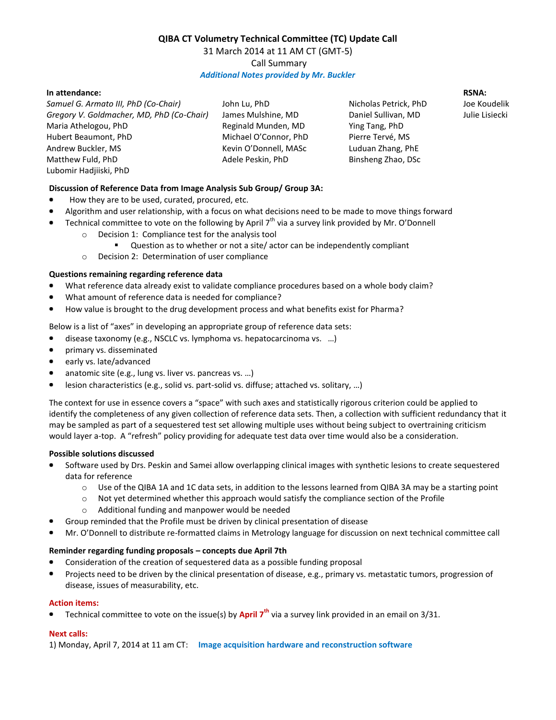# **QIBA CT Volumetry Technical Committee (TC) Update Call** 31 March 2014 at 11 AM CT (GMT-5) Call Summary *Additional Notes provided by Mr. Buckler*

## **In attendance:**

*Samuel G. Armato III, PhD (Co-Chair) Gregory V. Goldmacher, MD, PhD (Co-Chair)* Maria Athelogou, PhD Hubert Beaumont, PhD Andrew Buckler, MS Matthew Fuld, PhD Lubomir Hadjiiski, PhD

John Lu, PhD James Mulshine, MD Reginald Munden, MD Michael O'Connor, PhD Kevin O'Donnell, MASc Adele Peskin, PhD

Nicholas Petrick, PhD Daniel Sullivan, MD Ying Tang, PhD Pierre Tervé, MS Luduan Zhang, PhE Binsheng Zhao, DSc

**RSNA:**

Joe Koudelik Julie Lisiecki

## **Discussion of Reference Data from Image Analysis Sub Group/ Group 3A:**

- How they are to be used, curated, procured, etc.
- Algorithm and user relationship, with a focus on what decisions need to be made to move things forward
	- Technical committee to vote on the following by April 7<sup>th</sup> via a survey link provided by Mr. O'Donnell o Decision 1: Compliance test for the analysis tool
		- Question as to whether or not a site/ actor can be independently compliant
		- o Decision 2: Determination of user compliance

### **Questions remaining regarding reference data**

- What reference data already exist to validate compliance procedures based on a whole body claim?
- What amount of reference data is needed for compliance?
- How value is brought to the drug development process and what benefits exist for Pharma?

Below is a list of "axes" in developing an appropriate group of reference data sets:

- $\bullet$ disease taxonomy (e.g., NSCLC vs. lymphoma vs. hepatocarcinoma vs. …)
- primary vs. disseminated
- early vs. late/advanced
- anatomic site (e.g., lung vs. liver vs. pancreas vs. …)
- $\bullet$ lesion characteristics (e.g., solid vs. part-solid vs. diffuse; attached vs. solitary, …)

The context for use in essence covers a "space" with such axes and statistically rigorous criterion could be applied to identify the completeness of any given collection of reference data sets. Then, a collection with sufficient redundancy that it may be sampled as part of a sequestered test set allowing multiple uses without being subject to overtraining criticism would layer a-top. A "refresh" policy providing for adequate test data over time would also be a consideration.

### **Possible solutions discussed**

- Software used by Drs. Peskin and Samei allow overlapping clinical images with synthetic lesions to create sequestered data for reference
	- $\circ$  Use of the QIBA 1A and 1C data sets, in addition to the lessons learned from QIBA 3A may be a starting point
	- $\circ$  Not yet determined whether this approach would satisfy the compliance section of the Profile
	- o Additional funding and manpower would be needed
- Group reminded that the Profile must be driven by clinical presentation of disease
- Mr. O'Donnell to distribute re-formatted claims in Metrology language for discussion on next technical committee call

### **Reminder regarding funding proposals – concepts due April 7th**

- Consideration of the creation of sequestered data as a possible funding proposal
- Projects need to be driven by the clinical presentation of disease, e.g., primary vs. metastatic tumors, progression of disease, issues of measurability, etc.

### **Action items:**

Technical committee to vote on the issue(s) by **April 7th** via a survey link provided in an email on 3/31.

#### **Next calls:**

1) Monday, April 7, 2014 at 11 am CT: **Image acquisition hardware and reconstruction software**